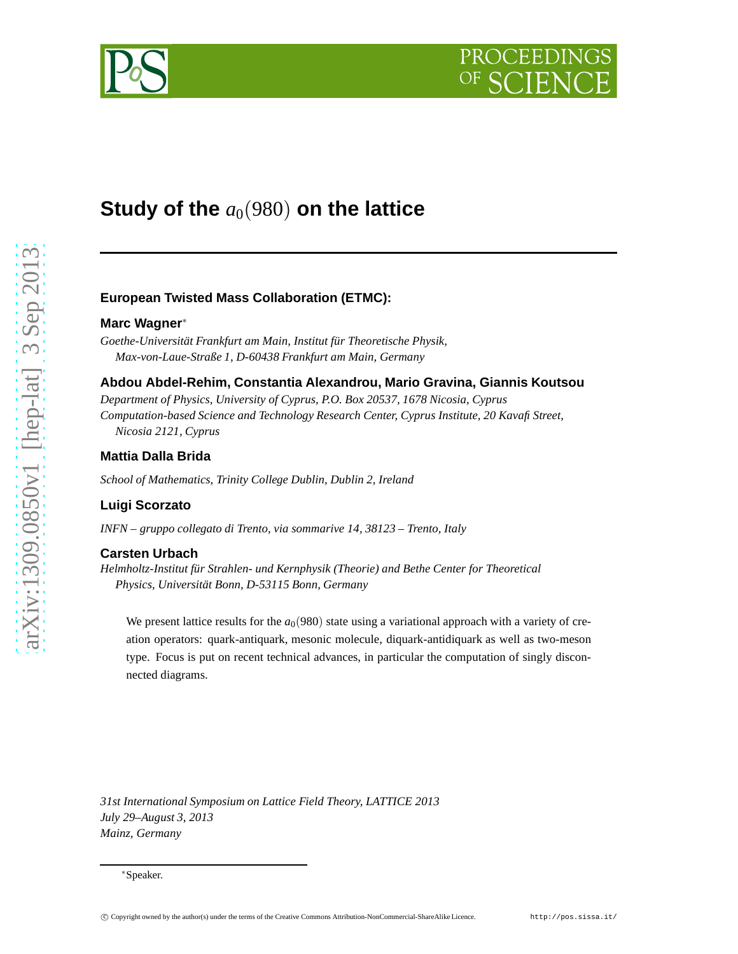# DCEEDI



# **Study of the**  $a_0(980)$  on the lattice

# **European Twisted Mass Collaboration (ETMC):**

#### **Marc Wagner**<sup>∗</sup>

*Goethe-Universität Frankfurt am Main, Institut für Theoretische Physik, Max-von-Laue-Straße 1, D-60438 Frankfurt am Main, Germany*

#### **Abdou Abdel-Rehim, Constantia Alexandrou, Mario Gravina, Giannis Koutsou**

*Department of Physics, University of Cyprus, P.O. Box 20537, 1678 Nicosia, Cyprus Computation-based Science and Technology Research Center, Cyprus Institute, 20 Kavafi Street, Nicosia 2121, Cyprus*

# **Mattia Dalla Brida**

*School of Mathematics, Trinity College Dublin, Dublin 2, Ireland*

#### **Luigi Scorzato**

*INFN – gruppo collegato di Trento, via sommarive 14, 38123 – Trento, Italy*

#### **Carsten Urbach**

*Helmholtz-Institut für Strahlen- und Kernphysik (Theorie) and Bethe Center for Theoretical Physics, Universität Bonn, D-53115 Bonn, Germany*

We present lattice results for the  $a_0(980)$  state using a variational approach with a variety of creation operators: quark-antiquark, mesonic molecule, diquark-antidiquark as well as two-meson type. Focus is put on recent technical advances, in particular the computation of singly disconnected diagrams.

*31st International Symposium on Lattice Field Theory, LATTICE 2013 July 29–August 3, 2013 Mainz, Germany*

<sup>∗</sup>Speaker.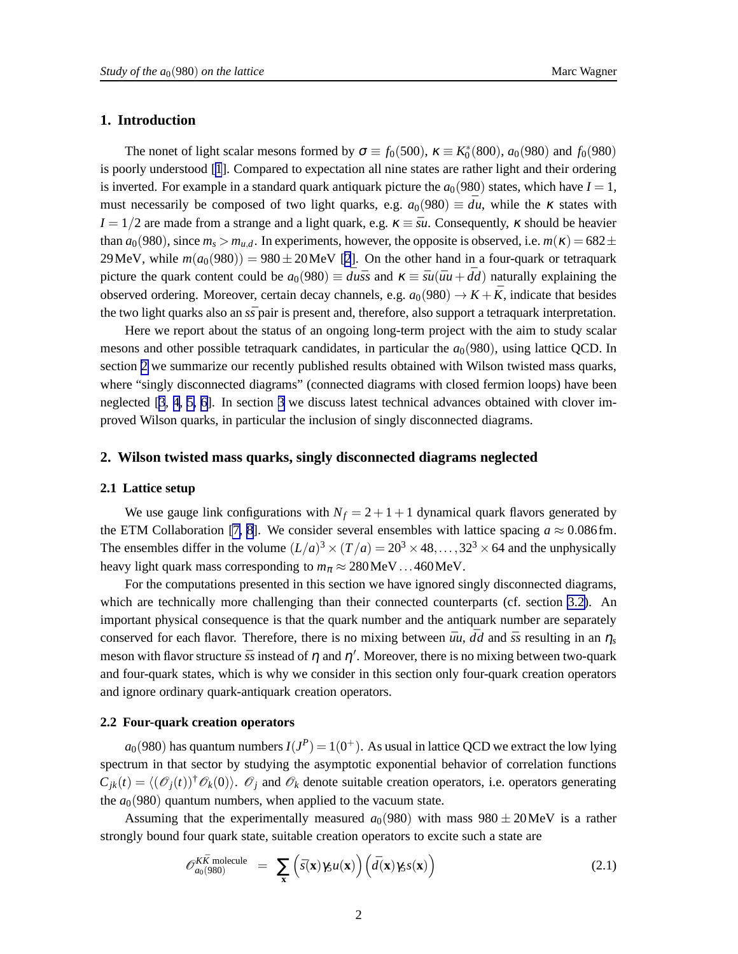# <span id="page-1-0"></span>**1. Introduction**

The nonet of light scalar mesons formed by  $\sigma \equiv f_0(500)$ ,  $\kappa \equiv K_0^*(800)$ ,  $a_0(980)$  and  $f_0(980)$ is poorly understood [[1](#page-6-0)]. Compared to expectation all nine states are rather light and their ordering is inverted. For example in a standard quark antiquark picture the  $a_0(980)$  states, which have  $I = 1$ , must necessarily be composed of two light quarks, e.g.  $a_0(980) \equiv d\bar{u}$ , while the  $\kappa$  states with  $I = 1/2$  are made from a strange and a light quark, e.g.  $\kappa \equiv \bar{s}u$ . Consequently,  $\kappa$  should be heavier than  $a_0(980)$ , since  $m_s > m_{u,d}$ . In experiments, however, the opposite is observed, i.e.  $m(\kappa) = 682 \pm$ 29 MeV, while  $m(a_0(980)) = 980 \pm 20$  MeV [\[2](#page-6-0)]. On the other hand in a four-quark or tetraquark picture the quark content could be  $a_0(980) \equiv d\overline{u}\overline{s}$  and  $\kappa \equiv \overline{s}u(\overline{u}u + \overline{d}d)$  naturally explaining the observed ordering. Moreover, certain decay channels, e.g.  $a_0(980) \rightarrow K + \bar{K}$ , indicate that besides the two light quarks also an  $s\bar{s}$  pair is present and, therefore, also support a tetraquark interpretation.

Here we report about the status of an ongoing long-term project with the aim to study scalar mesons and other possible tetraquark candidates, in particular the  $a<sub>0</sub>(980)$ , using lattice QCD. In section 2 we summarize our recently published results obtained with Wilson twisted mass quarks, where "singly disconnected diagrams" (connected diagrams with closed fermion loops) have been neglected [\[3](#page-6-0), [4](#page-6-0), [5, 6](#page-6-0)]. In section [3](#page-3-0) we discuss latest technical advances obtained with clover improved Wilson quarks, in particular the inclusion of singly disconnected diagrams.

### **2. Wilson twisted mass quarks, singly disconnected diagrams neglected**

#### **2.1 Lattice setup**

We use gauge link configurations with  $N_f = 2 + 1 + 1$  dynamical quark flavors generated by the ETM Collaboration [\[7, 8](#page-6-0)]. We consider several ensembles with lattice spacing  $a \approx 0.086$  fm. The ensembles differ in the volume  $(L/a)^3 \times (T/a) = 20^3 \times 48, \ldots, 32^3 \times 64$  and the unphysically heavy light quark mass corresponding to  $m_\pi \approx 280 \text{MeV}$ ...460 MeV.

For the computations presented in this section we have ignored singly disconnected diagrams, which are technically more challenging than their connected counterparts (cf. section [3.2\)](#page-3-0). An important physical consequence is that the quark number and the antiquark number are separately conserved for each flavor. Therefore, there is no mixing between  $\bar{u}u$ ,  $\bar{d}d$  and  $\bar{s}s$  resulting in an  $\eta_s$ meson with flavor structure  $\bar{s}s$  instead of  $\eta$  and  $\eta'$ . Moreover, there is no mixing between two-quark and four-quark states, which is why we consider in this section only four-quark creation operators and ignore ordinary quark-antiquark creation operators.

#### **2.2 Four-quark creation operators**

 $a_0(980)$  has quantum numbers  $I(J^P) = 1(0^+)$ . As usual in lattice QCD we extract the low lying spectrum in that sector by studying the asymptotic exponential behavior of correlation functions  $C_{jk}(t) = \langle (\mathcal{O}_j(t))^{\dagger} \mathcal{O}_k(0) \rangle$ .  $\mathcal{O}_j$  and  $\mathcal{O}_k$  denote suitable creation operators, i.e. operators generating the  $a<sub>0</sub>(980)$  quantum numbers, when applied to the vacuum state.

Assuming that the experimentally measured  $a_0(980)$  with mass  $980 \pm 20$ MeV is a rather strongly bound four quark state, suitable creation operators to excite such a state are

$$
\mathscr{O}_{a_0(980)}^{K\bar{K} \text{ molecule}} = \sum_{\mathbf{x}} \left( \bar{s}(\mathbf{x}) \gamma_5 u(\mathbf{x}) \right) \left( \bar{d}(\mathbf{x}) \gamma_5 s(\mathbf{x}) \right) \tag{2.1}
$$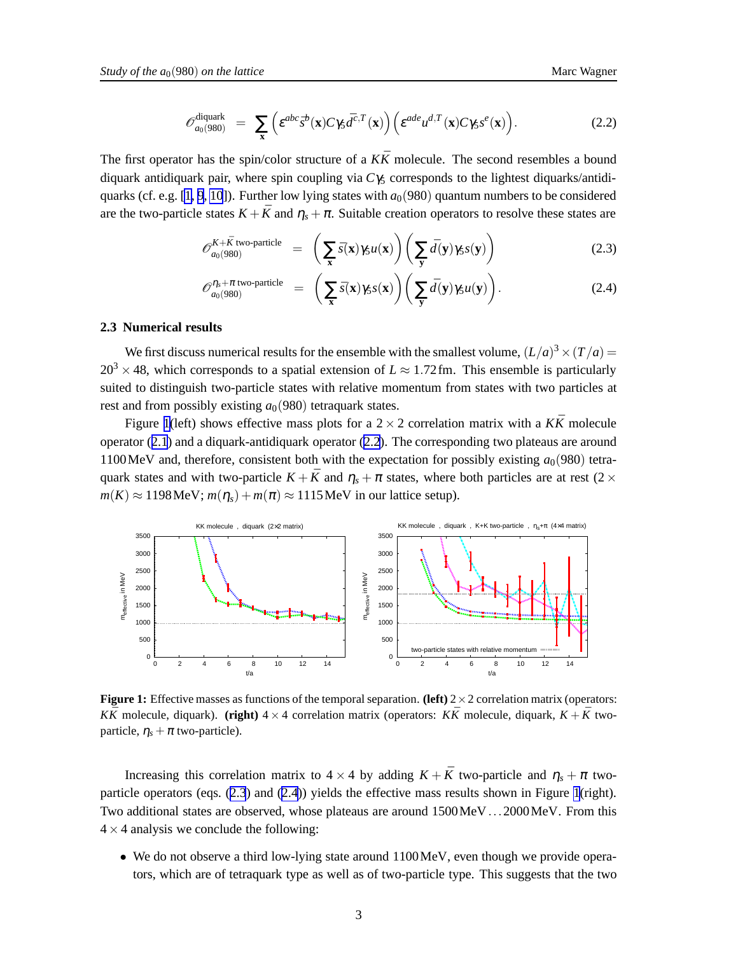$$
\mathscr{O}_{a_0(980)}^{\text{diquark}} = \sum_{\mathbf{x}} \left( \varepsilon^{abc} \bar{s}^b(\mathbf{x}) C \gamma_5 \bar{d}^{c,T}(\mathbf{x}) \right) \left( \varepsilon^{ade} u^{d,T}(\mathbf{x}) C \gamma_5 s^e(\mathbf{x}) \right). \tag{2.2}
$$

<span id="page-2-0"></span>The first operator has the spin/color structure of a  $K\bar{K}$  molecule. The second resembles a bound diquark antidiquark pair, where spin coupling via *C*γ<sup>5</sup> corresponds to the lightest diquarks/antidi-quarks (cf. e.g. [\[1, 9](#page-6-0), [10](#page-6-0)]). Further low lying states with  $a<sub>0</sub>(980)$  quantum numbers to be considered are the two-particle states  $K + \bar{K}$  and  $\eta_s + \pi$ . Suitable creation operators to resolve these states are

$$
\mathscr{O}_{a_0(980)}^{K+\bar{K} \text{ two-particle}} = \left(\sum_{\mathbf{x}} \bar{s}(\mathbf{x}) \gamma_5 u(\mathbf{x})\right) \left(\sum_{\mathbf{y}} \bar{d}(\mathbf{y}) \gamma_5 s(\mathbf{y})\right) \tag{2.3}
$$

$$
\mathscr{O}_{a_0(980)}^{\eta_s + \pi \text{ two-particle}} = \left( \sum_{\mathbf{x}} \bar{s}(\mathbf{x}) \gamma_5 s(\mathbf{x}) \right) \left( \sum_{\mathbf{y}} \bar{d}(\mathbf{y}) \gamma_5 u(\mathbf{y}) \right).
$$
 (2.4)

#### **2.3 Numerical results**

We first discuss numerical results for the ensemble with the smallest volume,  $(L/a)^3 \times (T/a) =$  $20^3 \times 48$ , which corresponds to a spatial extension of  $L \approx 1.72$  fm. This ensemble is particularly suited to distinguish two-particle states with relative momentum from states with two particles at rest and from possibly existing  $a<sub>0</sub>(980)$  tetraquark states.

Figure 1(left) shows effective mass plots for a  $2 \times 2$  correlation matrix with a  $K\bar{K}$  molecule operator ([2.1](#page-1-0)) and a diquark-antidiquark operator (2.2). The corresponding two plateaus are around 1100 MeV and, therefore, consistent both with the expectation for possibly existing  $a_0(980)$  tetraquark states and with two-particle  $K + \bar{K}$  and  $\eta_s + \pi$  states, where both particles are at rest (2  $\times$  $m(K) \approx 1198$  MeV;  $m(\eta_s) + m(\pi) \approx 1115$  MeV in our lattice setup).



**Figure 1:** Effective masses as functions of the temporal separation. **(left)**  $2 \times 2$  correlation matrix (operators: *KK*<sup> $\overline{K}$ </sub> molecule, diquark). **(right)**  $4 \times 4$  correlation matrix (operators: *KK*<sup> $\overline{K}$ </sup> molecule, diquark,  $K + \overline{K}$  two-</sup> particle,  $\eta_s + \pi$  two-particle).

Increasing this correlation matrix to  $4 \times 4$  by adding  $K + \bar{K}$  two-particle and  $\eta_s + \pi$  twoparticle operators (eqs. (2.3) and (2.4)) yields the effective mass results shown in Figure 1(right). Two additional states are observed, whose plateaus are around 1500MeV...2000MeV. From this  $4 \times 4$  analysis we conclude the following:

• We do not observe a third low-lying state around 1100MeV, even though we provide operators, which are of tetraquark type as well as of two-particle type. This suggests that the two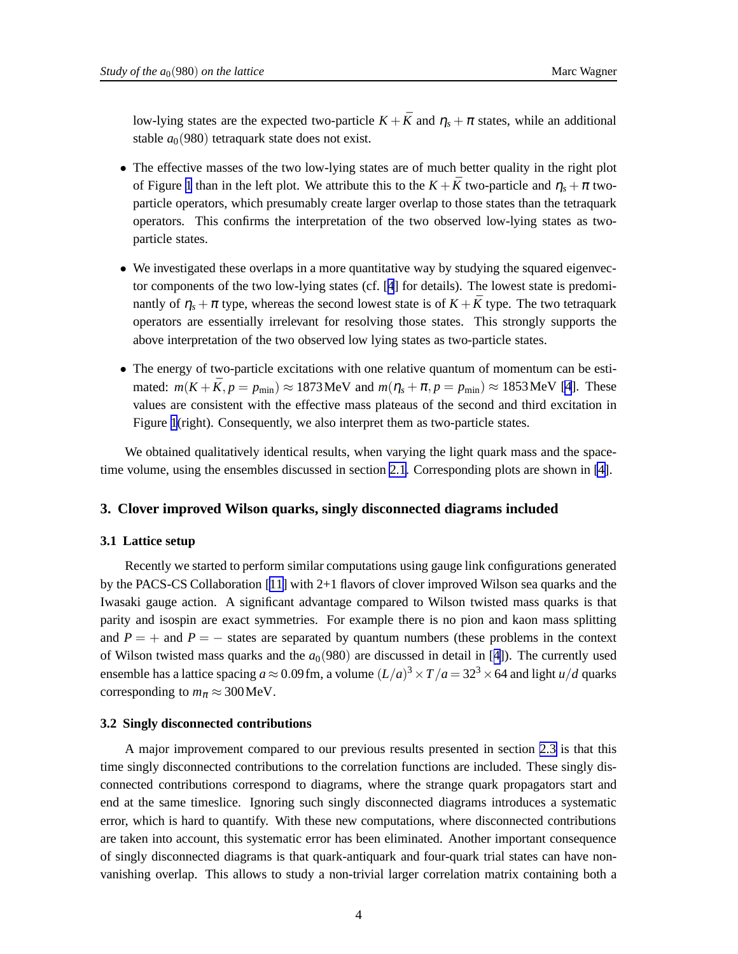<span id="page-3-0"></span>low-lying states are the expected two-particle  $K + \bar{K}$  and  $\eta_s + \pi$  states, while an additional stable  $a_0(980)$  tetraquark state does not exist.

- The effective masses of the two low-lying states are of much better quality in the right plot of Figure [1](#page-2-0) than in the left plot. We attribute this to the  $K + \bar{K}$  two-particle and  $\eta_s + \pi$  twoparticle operators, which presumably create larger overlap to those states than the tetraquark operators. This confirms the interpretation of the two observed low-lying states as twoparticle states.
- We investigated these overlaps in a more quantitative way by studying the squared eigenvector components of the two low-lying states (cf. [[4](#page-6-0)] for details). The lowest state is predominantly of  $\eta_s + \pi$  type, whereas the second lowest state is of  $K + \bar{K}$  type. The two tetraquark operators are essentially irrelevant for resolving those states. This strongly supports the above interpretation of the two observed low lying states as two-particle states.
- The energy of two-particle excitations with one relative quantum of momentum can be estimated:  $m(K + \bar{K}, p = p_{min}) \approx 1873 \text{ MeV}$  and  $m(\eta_s + \pi, p = p_{min}) \approx 1853 \text{ MeV}$  [\[4](#page-6-0)]. These values are consistent with the effective mass plateaus of the second and third excitation in Figure [1](#page-2-0)(right). Consequently, we also interpret them as two-particle states.

We obtained qualitatively identical results, when varying the light quark mass and the spacetime volume, using the ensembles discussed in section [2.1.](#page-1-0) Corresponding plots are shown in [\[4\]](#page-6-0).

#### **3. Clover improved Wilson quarks, singly disconnected diagrams included**

#### **3.1 Lattice setup**

Recently we started to perform similar computations using gauge link configurations generated by the PACS-CS Collaboration [[11\]](#page-6-0) with 2+1 flavors of clover improved Wilson sea quarks and the Iwasaki gauge action. A significant advantage compared to Wilson twisted mass quarks is that parity and isospin are exact symmetries. For example there is no pion and kaon mass splitting and  $P = +$  and  $P = -$  states are separated by quantum numbers (these problems in the context of Wilson twisted mass quarks and the  $a<sub>0</sub>(980)$  are discussed in detail in [[4](#page-6-0)]). The currently used ensemble has a lattice spacing  $a \approx 0.09$  fm, a volume  $(L/a)^3 \times T/a = 32^3 \times 64$  and light  $u/d$  quarks corresponding to  $m_\pi \approx 300 \text{MeV}$ .

#### **3.2 Singly disconnected contributions**

A major improvement compared to our previous results presented in section [2.3](#page-2-0) is that this time singly disconnected contributions to the correlation functions are included. These singly disconnected contributions correspond to diagrams, where the strange quark propagators start and end at the same timeslice. Ignoring such singly disconnected diagrams introduces a systematic error, which is hard to quantify. With these new computations, where disconnected contributions are taken into account, this systematic error has been eliminated. Another important consequence of singly disconnected diagrams is that quark-antiquark and four-quark trial states can have nonvanishing overlap. This allows to study a non-trivial larger correlation matrix containing both a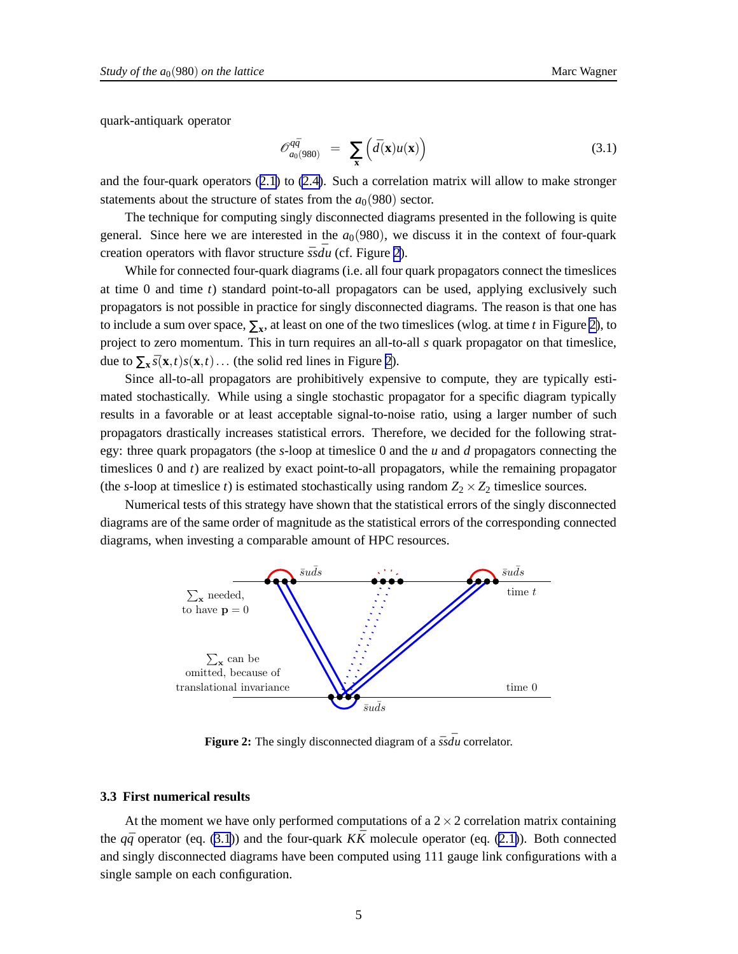<span id="page-4-0"></span>quark-antiquark operator

$$
\mathcal{O}_{a_0(980)}^{q\bar{q}} = \sum_{\mathbf{x}} \left( \bar{d}(\mathbf{x}) u(\mathbf{x}) \right) \tag{3.1}
$$

and the four-quark operators ([2.1](#page-1-0)) to [\(2.4\)](#page-2-0). Such a correlation matrix will allow to make stronger statements about the structure of states from the  $a<sub>0</sub>(980)$  sector.

The technique for computing singly disconnected diagrams presented in the following is quite general. Since here we are interested in the  $a<sub>0</sub>(980)$ , we discuss it in the context of four-quark creation operators with flavor structure  $\bar{s} s \bar{d} u$  (cf. Figure 2).

While for connected four-quark diagrams (i.e. all four quark propagators connect the timeslices at time 0 and time *t*) standard point-to-all propagators can be used, applying exclusively such propagators is not possible in practice for singly disconnected diagrams. The reason is that one has to include a sum over space,  $\Sigma_{\mathbf{x}}$ , at least on one of the two timeslices (wlog. at time *t* in Figure 2), to project to zero momentum. This in turn requires an all-to-all *s* quark propagator on that timeslice, due to  $\sum_{\mathbf{x}} s(\mathbf{x},t)s(\mathbf{x},t)...$  (the solid red lines in Figure 2).

Since all-to-all propagators are prohibitively expensive to compute, they are typically estimated stochastically. While using a single stochastic propagator for a specific diagram typically results in a favorable or at least acceptable signal-to-noise ratio, using a larger number of such propagators drastically increases statistical errors. Therefore, we decided for the following strategy: three quark propagators (the *s*-loop at timeslice 0 and the *u* and *d* propagators connecting the timeslices 0 and *t*) are realized by exact point-to-all propagators, while the remaining propagator (the *s*-loop at timeslice *t*) is estimated stochastically using random  $Z_2 \times Z_2$  timeslice sources.

Numerical tests of this strategy have shown that the statistical errors of the singly disconnected diagrams are of the same order of magnitude as the statistical errors of the corresponding connected diagrams, when investing a comparable amount of HPC resources.



**Figure 2:** The singly disconnected diagram of a  $\bar{s} s \bar{d} u$  correlator.

#### **3.3 First numerical results**

At the moment we have only performed computations of a  $2 \times 2$  correlation matrix containing the  $q\bar{q}$  operator (eq. (3.1)) and the four-quark  $K\bar{K}$  molecule operator (eq. [\(2.1\)](#page-1-0)). Both connected and singly disconnected diagrams have been computed using 111 gauge link configurations with a single sample on each configuration.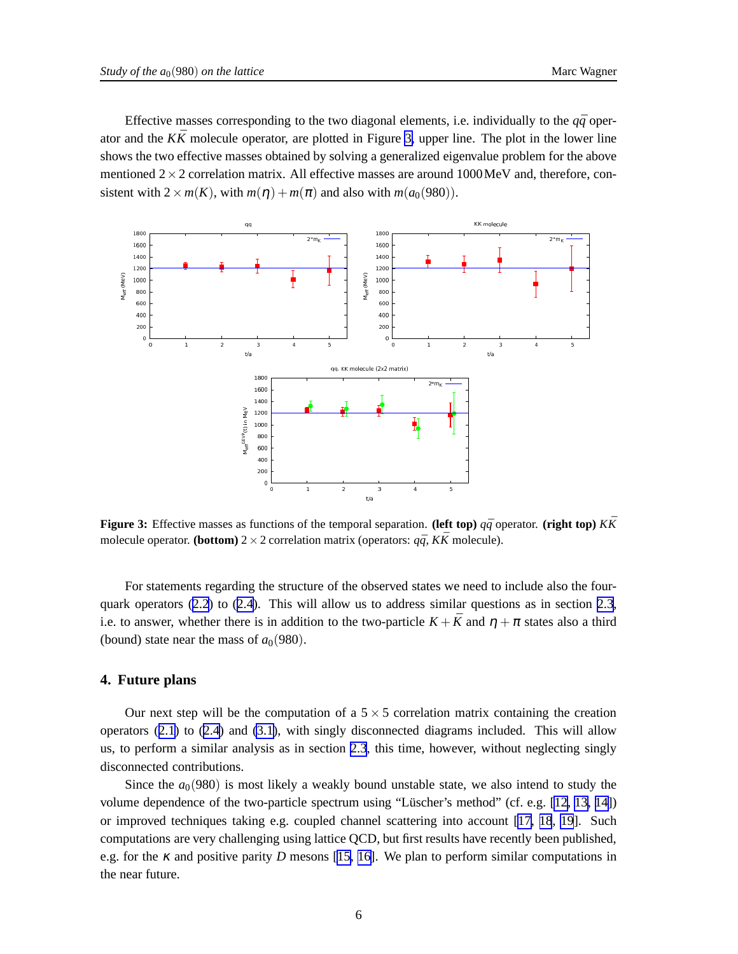Effective masses corresponding to the two diagonal elements, i.e. individually to the  $q\bar{q}$  operator and the  $K\bar{K}$  molecule operator, are plotted in Figure 3, upper line. The plot in the lower line shows the two effective masses obtained by solving a generalized eigenvalue problem for the above mentioned  $2 \times 2$  correlation matrix. All effective masses are around 1000 MeV and, therefore, consistent with  $2 \times m(K)$ , with  $m(\eta) + m(\pi)$  and also with  $m(a_0(980))$ .



**Figure 3:** Effective masses as functions of the temporal separation. **(left top)**  $q\bar{q}$  operator. **(right top)**  $K\bar{K}$ molecule operator. **(bottom)**  $2 \times 2$  correlation matrix (operators:  $q\bar{q}$ ,  $K\bar{K}$  molecule).

For statements regarding the structure of the observed states we need to include also the fourquark operators  $(2.2)$  $(2.2)$  $(2.2)$  to  $(2.4)$  $(2.4)$  $(2.4)$ . This will allow us to address similar questions as in section [2.3](#page-2-0), i.e. to answer, whether there is in addition to the two-particle  $K + \bar{K}$  and  $\eta + \pi$  states also a third (bound) state near the mass of  $a_0(980)$ .

#### **4. Future plans**

Our next step will be the computation of a  $5 \times 5$  correlation matrix containing the creation operators ([2.1](#page-1-0)) to ([2.4](#page-2-0)) and [\(3.1\)](#page-4-0), with singly disconnected diagrams included. This will allow us, to perform a similar analysis as in section [2.3](#page-2-0), this time, however, without neglecting singly disconnected contributions.

Since the  $a_0(980)$  is most likely a weakly bound unstable state, we also intend to study the volume dependence of the two-particle spectrum using "Lüscher's method" (cf. e.g. [\[12, 13, 14\]](#page-6-0)) or improved techniques taking e.g. coupled channel scattering into account [[17, 18](#page-6-0), [19](#page-6-0)]. Such computations are very challenging using lattice QCD, but first results have recently been published, e.g. for the  $\kappa$  and positive parity *D* mesons [[15, 16\]](#page-6-0). We plan to perform similar computations in the near future.